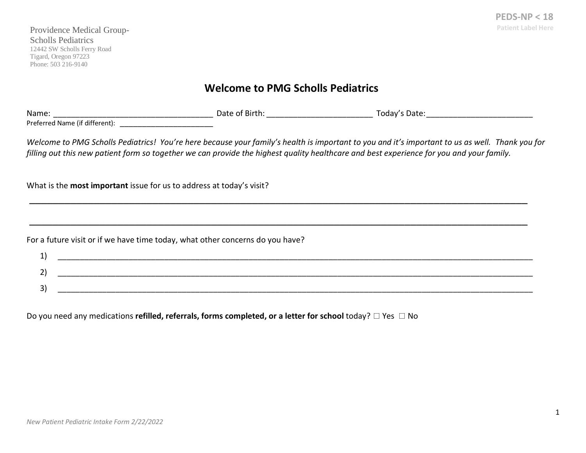### **Welcome to PMG Scholls Pediatrics**

| <b>Name</b>                                                                                                                                 | Date of Birth | Todav's Date: |  |  |  |  |  |  |  |
|---------------------------------------------------------------------------------------------------------------------------------------------|---------------|---------------|--|--|--|--|--|--|--|
| Preferred Name (if different):                                                                                                              |               |               |  |  |  |  |  |  |  |
| $14L1.$ . The proposition that the contract of the contract of the contract of the contract of the contract of $\tau$ and $\tau$ and $\tau$ |               |               |  |  |  |  |  |  |  |

*Welcome to PMG Scholls Pediatrics! You're here because your family's health is important to you and it's important to us as well. Thank you for filling out this new patient form so together we can provide the highest quality healthcare and best experience for you and your family.* 

\_\_\_\_\_\_\_\_\_\_\_\_\_\_\_\_\_\_\_\_\_\_\_\_\_\_\_\_\_\_\_\_\_\_\_\_\_\_\_\_\_\_\_\_\_\_\_\_\_\_\_\_\_\_\_\_\_\_\_\_\_\_\_\_\_\_\_\_\_\_\_\_\_\_\_\_\_\_\_\_\_\_\_\_\_

\_\_\_\_\_\_\_\_\_\_\_\_\_\_\_\_\_\_\_\_\_\_\_\_\_\_\_\_\_\_\_\_\_\_\_\_\_\_\_\_\_\_\_\_\_\_\_\_\_\_\_\_\_\_\_\_\_\_\_\_\_\_\_\_\_\_\_\_\_\_\_\_\_\_\_\_\_\_\_\_\_\_\_\_\_

What is the **most important** issue for us to address at today's visit?

For a future visit or if we have time today, what other concerns do you have?

| -- |  |
|----|--|
|    |  |
|    |  |

Do you need any medications **refilled, referrals, forms completed, or a letter for school** today? □ Yes □ No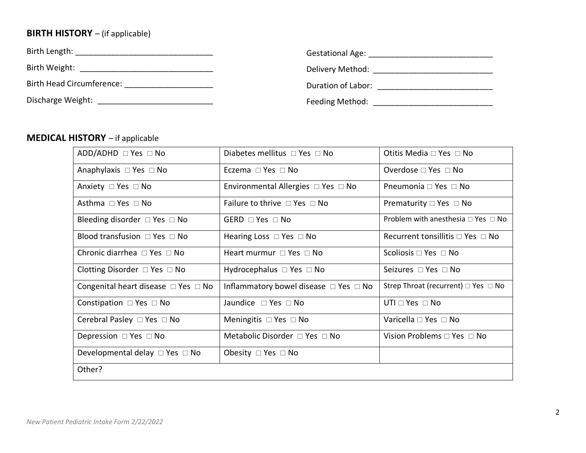# **BIRTH HISTORY** – (if applicable)

| Birth Length:             | <b>Gestational Age:</b> |
|---------------------------|-------------------------|
| Birth Weight:             | Delivery Method:        |
| Birth Head Circumference: | Duration of Labor:      |
| Discharge Weight:         | Feeding Method:         |

### **MEDICAL HISTORY** – if applicable

| $ADD/ADHD \square Yes \square No$             | Diabetes mellitus □ Yes □ No                    | Otitis Media □ Yes □ No                       |
|-----------------------------------------------|-------------------------------------------------|-----------------------------------------------|
| Anaphylaxis $\Box$ Yes $\Box$ No              | Eczema $\Box$ Yes $\Box$ No                     | Overdose $\Box$ Yes $\Box$ No                 |
| Anxiety □ Yes □ No                            | Environmental Allergies $\Box$ Yes $\Box$ No    | Pneumonia □ Yes □ No                          |
| Asthma $\Box$ Yes $\Box$ No                   | Failure to thrive $\Box$ Yes $\Box$ No          | Prematurity $\Box$ Yes $\Box$ No              |
| Bleeding disorder $\Box$ Yes $\Box$ No        | GERD $\Box$ Yes $\Box$ No                       | Problem with anesthesia $\Box$ Yes $\Box$ No  |
| Blood transfusion $\Box$ Yes $\Box$ No        | Hearing Loss $\Box$ Yes $\Box$ No               | Recurrent tonsillitis $\Box$ Yes $\Box$ No    |
| Chronic diarrhea $\Box$ Yes $\Box$ No         | Heart murmur $\Box$ Yes $\Box$ No               | Scoliosis $\Box$ Yes $\Box$ No                |
| Clotting Disorder $\Box$ Yes $\Box$ No        | Hydrocephalus $\Box$ Yes $\Box$ No              | Seizures □ Yes □ No                           |
| Congenital heart disease $\Box$ Yes $\Box$ No | Inflammatory bowel disease $\Box$ Yes $\Box$ No | Strep Throat (recurrent) $\Box$ Yes $\Box$ No |
| Constipation $\Box$ Yes $\Box$ No             | Jaundice □ Yes □ No                             | $UTI \square Yes \square No$                  |
| Cerebral Pasley $\Box$ Yes $\Box$ No          | Meningitis $\Box$ Yes $\Box$ No                 | Varicella □ Yes □ No                          |
| Depression $\Box$ Yes $\Box$ No               | Metabolic Disorder $\Box$ Yes $\Box$ No         | Vision Problems $\Box$ Yes $\Box$ No          |
| Developmental delay $\Box$ Yes $\Box$ No      | Obesity $\Box$ Yes $\Box$ No                    |                                               |
| Other?                                        |                                                 |                                               |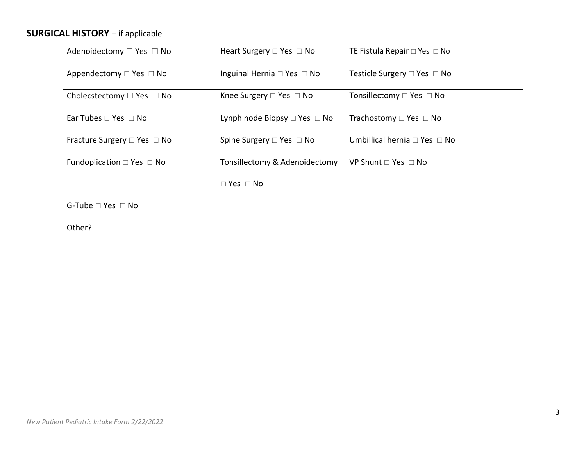# **SURGICAL HISTORY** – if applicable

| Adenoidectomy $\Box$ Yes $\Box$ No    | Heart Surgery $\Box$ Yes $\Box$ No      | TE Fistula Repair $\Box$ Yes $\Box$ No |
|---------------------------------------|-----------------------------------------|----------------------------------------|
| Appendectomy $\Box$ Yes $\Box$ No     | Inguinal Hernia $\Box$ Yes $\Box$ No    | Testicle Surgery $\Box$ Yes $\Box$ No  |
| Cholecstectomy $\Box$ Yes $\Box$ No   | Knee Surgery $\square$ Yes $\square$ No | Tonsillectomy $\Box$ Yes $\Box$ No     |
| Ear Tubes $\Box$ Yes $\Box$ No        | Lynph node Biopsy $\Box$ Yes $\Box$ No  | Trachostomy $\Box$ Yes $\Box$ No       |
| Fracture Surgery $\Box$ Yes $\Box$ No | Spine Surgery $\Box$ Yes $\Box$ No      | Umbillical hernia $\Box$ Yes $\Box$ No |
| Fundoplication $\Box$ Yes $\Box$ No   | Tonsillectomy & Adenoidectomy           | VP Shunt $\Box$ Yes $\Box$ No          |
|                                       | $\Box$ Yes $\Box$ No                    |                                        |
| G-Tube $\Box$ Yes $\Box$ No           |                                         |                                        |
| Other?                                |                                         |                                        |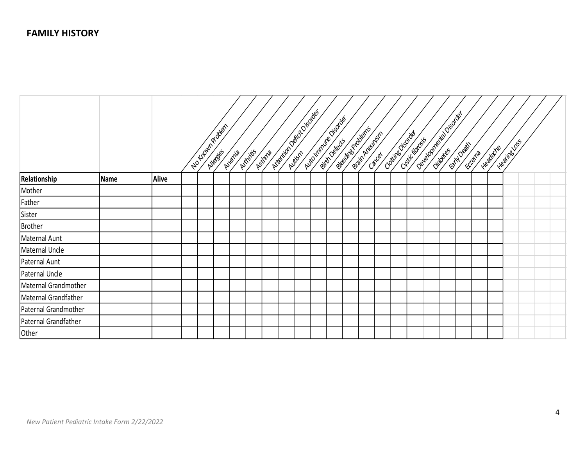|                      |      |              |  | No troumproblem | Anania | Addritis | Astria | Internation decided by | Automnwe Bisole | <b>Beech Strategies</b><br>British Avenue |  | Christian Canada |  | Oeteloprecke Display<br><b>CONSTRUCTION OF STREET</b> | <b>SERIES</b> | <b>Healthcare</b> | - Hearing Loss |  |
|----------------------|------|--------------|--|-----------------|--------|----------|--------|------------------------|-----------------|-------------------------------------------|--|------------------|--|-------------------------------------------------------|---------------|-------------------|----------------|--|
| Relationship         | Name | <b>Alive</b> |  |                 |        |          |        |                        |                 |                                           |  |                  |  |                                                       |               |                   |                |  |
| Mother               |      |              |  |                 |        |          |        |                        |                 |                                           |  |                  |  |                                                       |               |                   |                |  |
| Father               |      |              |  |                 |        |          |        |                        |                 |                                           |  |                  |  |                                                       |               |                   |                |  |
| Sister               |      |              |  |                 |        |          |        |                        |                 |                                           |  |                  |  |                                                       |               |                   |                |  |
| <b>Brother</b>       |      |              |  |                 |        |          |        |                        |                 |                                           |  |                  |  |                                                       |               |                   |                |  |
| Maternal Aunt        |      |              |  |                 |        |          |        |                        |                 |                                           |  |                  |  |                                                       |               |                   |                |  |
| Maternal Uncle       |      |              |  |                 |        |          |        |                        |                 |                                           |  |                  |  |                                                       |               |                   |                |  |
| Paternal Aunt        |      |              |  |                 |        |          |        |                        |                 |                                           |  |                  |  |                                                       |               |                   |                |  |
| Paternal Uncle       |      |              |  |                 |        |          |        |                        |                 |                                           |  |                  |  |                                                       |               |                   |                |  |
| Maternal Grandmother |      |              |  |                 |        |          |        |                        |                 |                                           |  |                  |  |                                                       |               |                   |                |  |
| Maternal Grandfather |      |              |  |                 |        |          |        |                        |                 |                                           |  |                  |  |                                                       |               |                   |                |  |
| Paternal Grandmother |      |              |  |                 |        |          |        |                        |                 |                                           |  |                  |  |                                                       |               |                   |                |  |
| Paternal Grandfather |      |              |  |                 |        |          |        |                        |                 |                                           |  |                  |  |                                                       |               |                   |                |  |
| Other                |      |              |  |                 |        |          |        |                        |                 |                                           |  |                  |  |                                                       |               |                   |                |  |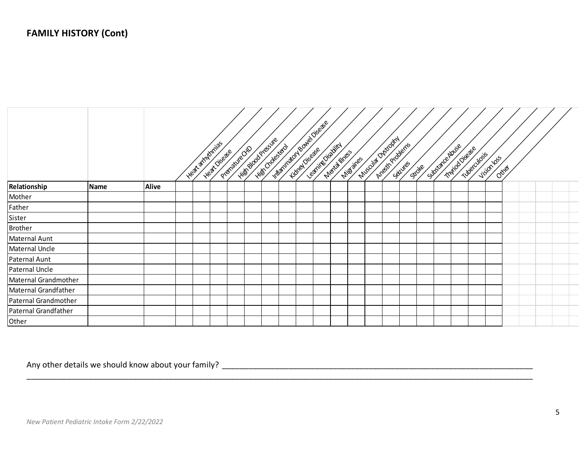|                       |             |              |  | - Heat armitmias<br>Heat Disease | Like Bookstee<br>Propinside de la | Hills crowstage | <b>INSTITUTION POOPERTIES</b> | Leaf New York<br><b>Northlines</b> | Nills and | Muscula Discopri<br>Anteriproblems | Seilvires | <b>SIDRE</b> | Silozare Adver | Toringo of Base<br><b>INDECTOR</b> | Vision loss | Ottres |  |  |
|-----------------------|-------------|--------------|--|----------------------------------|-----------------------------------|-----------------|-------------------------------|------------------------------------|-----------|------------------------------------|-----------|--------------|----------------|------------------------------------|-------------|--------|--|--|
| Relationship          | <b>Name</b> | <b>Alive</b> |  |                                  |                                   |                 |                               |                                    |           |                                    |           |              |                |                                    |             |        |  |  |
| Mother                |             |              |  |                                  |                                   |                 |                               |                                    |           |                                    |           |              |                |                                    |             |        |  |  |
| Father                |             |              |  |                                  |                                   |                 |                               |                                    |           |                                    |           |              |                |                                    |             |        |  |  |
| Sister                |             |              |  |                                  |                                   |                 |                               |                                    |           |                                    |           |              |                |                                    |             |        |  |  |
| <b>Brother</b>        |             |              |  |                                  |                                   |                 |                               |                                    |           |                                    |           |              |                |                                    |             |        |  |  |
| Maternal Aunt         |             |              |  |                                  |                                   |                 |                               |                                    |           |                                    |           |              |                |                                    |             |        |  |  |
| Maternal Uncle        |             |              |  |                                  |                                   |                 |                               |                                    |           |                                    |           |              |                |                                    |             |        |  |  |
| Paternal Aunt         |             |              |  |                                  |                                   |                 |                               |                                    |           |                                    |           |              |                |                                    |             |        |  |  |
| <b>Paternal Uncle</b> |             |              |  |                                  |                                   |                 |                               |                                    |           |                                    |           |              |                |                                    |             |        |  |  |
| Maternal Grandmother  |             |              |  |                                  |                                   |                 |                               |                                    |           |                                    |           |              |                |                                    |             |        |  |  |
| Maternal Grandfather  |             |              |  |                                  |                                   |                 |                               |                                    |           |                                    |           |              |                |                                    |             |        |  |  |
| Paternal Grandmother  |             |              |  |                                  |                                   |                 |                               |                                    |           |                                    |           |              |                |                                    |             |        |  |  |
| Paternal Grandfather  |             |              |  |                                  |                                   |                 |                               |                                    |           |                                    |           |              |                |                                    |             |        |  |  |
| Other                 |             |              |  |                                  |                                   |                 |                               |                                    |           |                                    |           |              |                |                                    |             |        |  |  |

\_\_\_\_\_\_\_\_\_\_\_\_\_\_\_\_\_\_\_\_\_\_\_\_\_\_\_\_\_\_\_\_\_\_\_\_\_\_\_\_\_\_\_\_\_\_\_\_\_\_\_\_\_\_\_\_\_\_\_\_\_\_\_\_\_\_\_\_\_\_\_\_\_\_\_\_\_\_\_\_\_\_\_\_\_\_\_\_\_\_\_\_\_\_\_\_\_\_\_\_\_\_\_\_\_\_\_\_\_\_\_\_\_\_

Any other details we should know about your family? \_\_\_\_\_\_\_\_\_\_\_\_\_\_\_\_\_\_\_\_\_\_\_\_\_\_\_\_\_\_\_\_\_\_\_\_\_\_\_\_\_\_\_\_\_\_\_\_\_\_\_\_\_\_\_\_\_\_\_\_\_\_\_\_\_\_\_\_\_\_